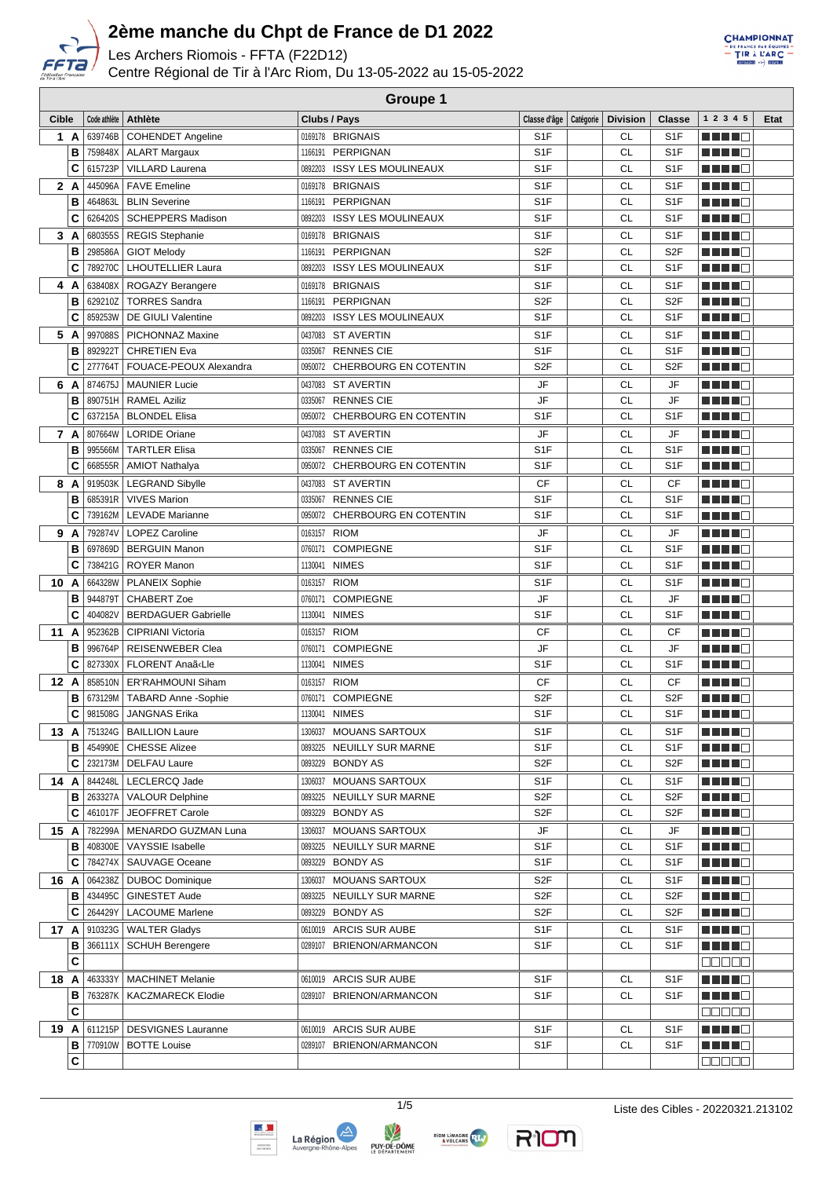

Les Archers Riomois - FFTA (F22D12)

Centre Régional de Tir à l'Arc Riom, Du 13-05-2022 au 15-05-2022



| Cible |              | Code athlète | Athlète                       | Clubs / Pays                  | Classe d'âge   Catégorie   Division |           | Classe           | 1 2 3 4 5                   | Etat |
|-------|--------------|--------------|-------------------------------|-------------------------------|-------------------------------------|-----------|------------------|-----------------------------|------|
|       | 1 A          |              | 639746B   COHENDET Angeline   | 0169178 BRIGNAIS              | S <sub>1</sub> F                    | CL        | S <sub>1</sub> F | M M M M                     |      |
|       | B            |              | 759848X   ALART Margaux       | 1166191 PERPIGNAN             | S <sub>1F</sub>                     | <b>CL</b> | S <sub>1F</sub>  |                             |      |
|       | C            | 615723P      | <b>VILLARD Laurena</b>        | 0892203 ISSY LES MOULINEAUX   | S <sub>1</sub> F                    | CL        | S <sub>1F</sub>  | <u> El El El </u>           |      |
|       | 2 A          |              | 445096A   FAVE Emeline        | 0169178 BRIGNAIS              | S <sub>1</sub> F                    | <b>CL</b> | S <sub>1F</sub>  | <u> El Branco de la Bra</u> |      |
|       | В            | 464863L      | <b>BLIN Severine</b>          | 1166191 PERPIGNAN             | S <sub>1</sub> F                    | <b>CL</b> | S <sub>1F</sub>  | MA MARIT                    |      |
|       | C            | 626420S      | <b>SCHEPPERS Madison</b>      | 0892203 ISSY LES MOULINEAUX   | S <sub>1</sub> F                    | CL        | S <sub>1F</sub>  | <u> El Bert</u>             |      |
| 3     | A            | 680355S      | <b>REGIS Stephanie</b>        | 0169178 BRIGNAIS              | S <sub>1</sub> F                    | <b>CL</b> | S <sub>1</sub> F | MA MARIT                    |      |
|       | В            | 298586A      | <b>GIOT Melody</b>            | 1166191<br>PERPIGNAN          | S <sub>2</sub> F                    | <b>CL</b> | S <sub>2F</sub>  | <u> Herman Se</u>           |      |
|       | C            | 789270C      | <b>LHOUTELLIER Laura</b>      | 0892203 ISSY LES MOULINEAUX   | S <sub>1</sub> F                    | <b>CL</b> | S <sub>1</sub> F | ma mata                     |      |
|       |              |              |                               |                               |                                     |           |                  |                             |      |
| 4     | A            | 638408X      | ROGAZY Berangere              | 0169178 BRIGNAIS              | S <sub>1</sub> F                    | CL        | S <sub>1</sub> F | HH 10                       |      |
|       | В            | 629210Z      | <b>TORRES Sandra</b>          | 1166191 PERPIGNAN             | S <sub>2</sub> F                    | <b>CL</b> | S <sub>2F</sub>  | a di se                     |      |
|       | C            | 859253W      | DE GIULI Valentine            | 0892203 ISSY LES MOULINEAUX   | S <sub>1</sub> F                    | <b>CL</b> | S <sub>1F</sub>  | Martin Ma                   |      |
| 5     | A            | 997088S      | PICHONNAZ Maxine              | 0437083 ST AVERTIN            | S <sub>1</sub> F                    | <b>CL</b> | S <sub>1F</sub>  | HH H H                      |      |
|       | в            | 892922T      | <b>CHRETIEN Eva</b>           | 0335067 RENNES CIE            | S <sub>1</sub> F                    | <b>CL</b> | S <sub>1F</sub>  | ma mata                     |      |
|       | C            | 277764T      | FOUACE-PEOUX Alexandra        | 0950072 CHERBOURG EN COTENTIN | S <sub>2</sub> F                    | <b>CL</b> | S <sub>2F</sub>  | MA MARIT                    |      |
| 6     | A            | 874675J      | MAUNIER Lucie                 | 0437083 ST AVERTIN            | JF                                  | CL        | JF               | Martin B                    |      |
|       | B            |              | 890751H   RAMEL Aziliz        | 0335067 RENNES CIE            | JF                                  | <b>CL</b> | JF               |                             |      |
|       | C            |              | 637215A   BLONDEL Elisa       | 0950072 CHERBOURG EN COTENTIN | S <sub>1</sub> F                    | CL        | S <sub>1</sub> F | <u> Literatur</u>           |      |
|       | 7 A          |              | 807664W   LORIDE Oriane       | 0437083 ST AVERTIN            | JF                                  | <b>CL</b> | JF               | HH H E                      |      |
|       | В            | 995566M      | <b>TARTLER Elisa</b>          | 0335067 RENNES CIE            | S <sub>1</sub> F                    | <b>CL</b> | S <sub>1</sub> F | M TIMO                      |      |
|       | C            | 668555R      | <b>AMIOT Nathalya</b>         | 0950072 CHERBOURG EN COTENTIN | S <sub>1</sub> F                    | CL        | S <sub>1</sub> F | MA MAR                      |      |
|       | 8 A          |              | 919503K   LEGRAND Sibylle     | 0437083 ST AVERTIN            | CF                                  | <b>CL</b> | <b>CF</b>        | n in Ti                     |      |
|       | В            | 685391R      | <b>VIVES Marion</b>           | 0335067 RENNES CIE            | S <sub>1</sub> F                    | <b>CL</b> | S <sub>1F</sub>  | HH 10                       |      |
|       | C            | 739162M      | <b>LEVADE Marianne</b>        | 0950072 CHERBOURG EN COTENTIN | S <sub>1F</sub>                     | <b>CL</b> | S <sub>1F</sub>  | MA MARIT                    |      |
|       | 9 A          | 792874V      | <b>LOPEZ Caroline</b>         | 0163157 RIOM                  | JF                                  | <b>CL</b> | JF               | MA MARINA                   |      |
|       | B            | 697869D      | <b>BERGUIN Manon</b>          | COMPIEGNE<br>0760171          | S <sub>1F</sub>                     | <b>CL</b> | S <sub>1F</sub>  | a da da d                   |      |
|       | C            | 738421G      | <b>ROYER Manon</b>            | 1130041 NIMES                 | S <sub>1</sub> F                    | <b>CL</b> | S <sub>1</sub> F | M M M D                     |      |
| 10 A  |              | 664328W      | <b>PLANEIX Sophie</b>         | 0163157 RIOM                  | S <sub>1</sub> F                    | <b>CL</b> | S <sub>1F</sub>  | MA MARIT                    |      |
|       | B            | 944879T      | <b>CHABERT Zoe</b>            | 0760171 COMPIEGNE             | JF                                  | <b>CL</b> | JF               | <u> El Bel</u>              |      |
|       | C            | 404082V      | <b>BERDAGUER Gabrielle</b>    | <b>NIMES</b><br>1130041       | S <sub>1</sub> F                    | <b>CL</b> | S <sub>1F</sub>  | <u> Literatur</u>           |      |
|       | 11 A         | 952362B      | <b>CIPRIANI Victoria</b>      | <b>RIOM</b><br>0163157        | CF                                  | <b>CL</b> | CF               | <u> Literatur</u>           |      |
|       | в            | 996764P      | <b>REISENWEBER Clea</b>       | 0760171 COMPIEGNE             | JF                                  | <b>CL</b> | <b>JF</b>        | MA MAR                      |      |
|       | C            | 827330X      | FLORENT Anaã«Lle              | 1130041 NIMES                 | S <sub>1</sub> F                    | <b>CL</b> | S <sub>1</sub> F | MA MARI                     |      |
|       | 12 A         |              | 858510N   ER'RAHMOUNI Siham   | 0163157 RIOM                  | CF                                  | <b>CL</b> | CF               | MA MAR                      |      |
|       | В            |              | 673129M   TABARD Anne -Sophie | 0760171 COMPIEGNE             | S <sub>2F</sub>                     | <b>CL</b> | S <sub>2F</sub>  |                             |      |
|       | C            | 981508G      | JANGNAS Erika                 | 1130041 NIMES                 | S <sub>1</sub> F                    | CL        | S <sub>1F</sub>  | MA MARIT                    |      |
|       | 13 A         |              | 751324G   BAILLION Laure      | 1306037 MOUANS SARTOUX        | S <sub>1</sub> F                    | <b>CL</b> | S <sub>1</sub> F | M M M M M                   |      |
|       | в            |              | 454990E   CHESSE Alizee       | 0893225 NEUILLY SUR MARNE     | S1F                                 | СL        | S <sub>1</sub> F | <u> Helena e</u>            |      |
|       | C            |              | 232173M   DELFAU Laure        | 0893229 BONDY AS              | S <sub>2</sub> F                    | CL        | S <sub>2</sub> F | MA MAR                      |      |
|       | 14 A         | 844248L      | LECLERCQ Jade                 | 1306037 MOUANS SARTOUX        | S <sub>1</sub> F                    | СL        | S <sub>1</sub> F | <u> Literatur</u>           |      |
|       | в            | 263327A      | VALOUR Delphine               | 0893225 NEUILLY SUR MARNE     | S <sub>2</sub> F                    | CL        | S <sub>2</sub> F | M M M M M                   |      |
|       | C            | 461017F      | JEOFFRET Carole               | 0893229 BONDY AS              | S <sub>2</sub> F                    | CL        | S <sub>2</sub> F | <u> La Bara</u>             |      |
|       | 15 A         | 782299A      | MENARDO GUZMAN Luna           | 1306037 MOUANS SARTOUX        | JF                                  | СL        | JF               | Martin Ba                   |      |
|       | в            | 408300E      | VAYSSIE Isabelle              | 0893225 NEUILLY SUR MARNE     | S <sub>1</sub> F                    | CL        | S <sub>1</sub> F | ME HE O                     |      |
|       | C            | 784274X      | <b>SAUVAGE Oceane</b>         | 0893229 BONDY AS              | S <sub>1</sub> F                    | СL        | S <sub>1</sub> F | M H H H H                   |      |
|       | 16 A         | 064238Z      | <b>DUBOC Dominique</b>        | 1306037 MOUANS SARTOUX        | S <sub>2</sub> F                    | СL        | S <sub>1</sub> F | M M M M M                   |      |
|       | в            | 434495C      | <b>GINESTET Aude</b>          | 0893225 NEUILLY SUR MARNE     | S <sub>2</sub> F                    | CL        | S <sub>2F</sub>  | Martin Ba                   |      |
|       | C            | 264429Y      | <b>LACOUME Marlene</b>        | 0893229 BONDY AS              | S <sub>2F</sub>                     | <b>CL</b> | S <sub>2F</sub>  | a da da d                   |      |
|       |              |              | 17 A 910323G   WALTER Gladys  | 0610019 ARCIS SUR AUBE        | S <sub>1</sub> F                    | CL        | S <sub>1</sub> F | MA MAR                      |      |
|       | в            |              | 366111X   SCHUH Berengere     | 0289107 BRIENON/ARMANCON      | S <sub>1</sub> F                    | <b>CL</b> | S <sub>1</sub> F | Martin Ma                   |      |
|       | C            |              |                               |                               |                                     |           |                  | anaan                       |      |
|       | 18 A         | 463333Y      | MACHINET Melanie              | 0610019 ARCIS SUR AUBE        | S <sub>1</sub> F                    | СL        | S <sub>1</sub> F | <u> Literatur</u>           |      |
|       | в            | 763287K      | <b>KACZMARECK Elodie</b>      | 0289107 BRIENON/ARMANCON      | S <sub>1</sub> F                    | CL        | S <sub>1</sub> F | <u> Literatur C</u>         |      |
|       | C            |              |                               |                               |                                     |           |                  | 88888                       |      |
|       | 19 Al        | 611215P      | <b>DESVIGNES Lauranne</b>     | 0610019 ARCIS SUR AUBE        | S <sub>1</sub> F                    | CL        | S <sub>1</sub> F | <u> Literatur C</u>         |      |
|       | в            | 770910W      | <b>BOTTE Louise</b>           | 0289107 BRIENON/ARMANCON      | S <sub>1</sub> F                    | CL        | S <sub>1</sub> F | <u> Literatur</u>           |      |
|       | $\mathbf{C}$ |              |                               |                               |                                     |           |                  | MUN S S                     |      |
|       |              |              |                               |                               |                                     |           |                  |                             |      |

**Groupe 1**





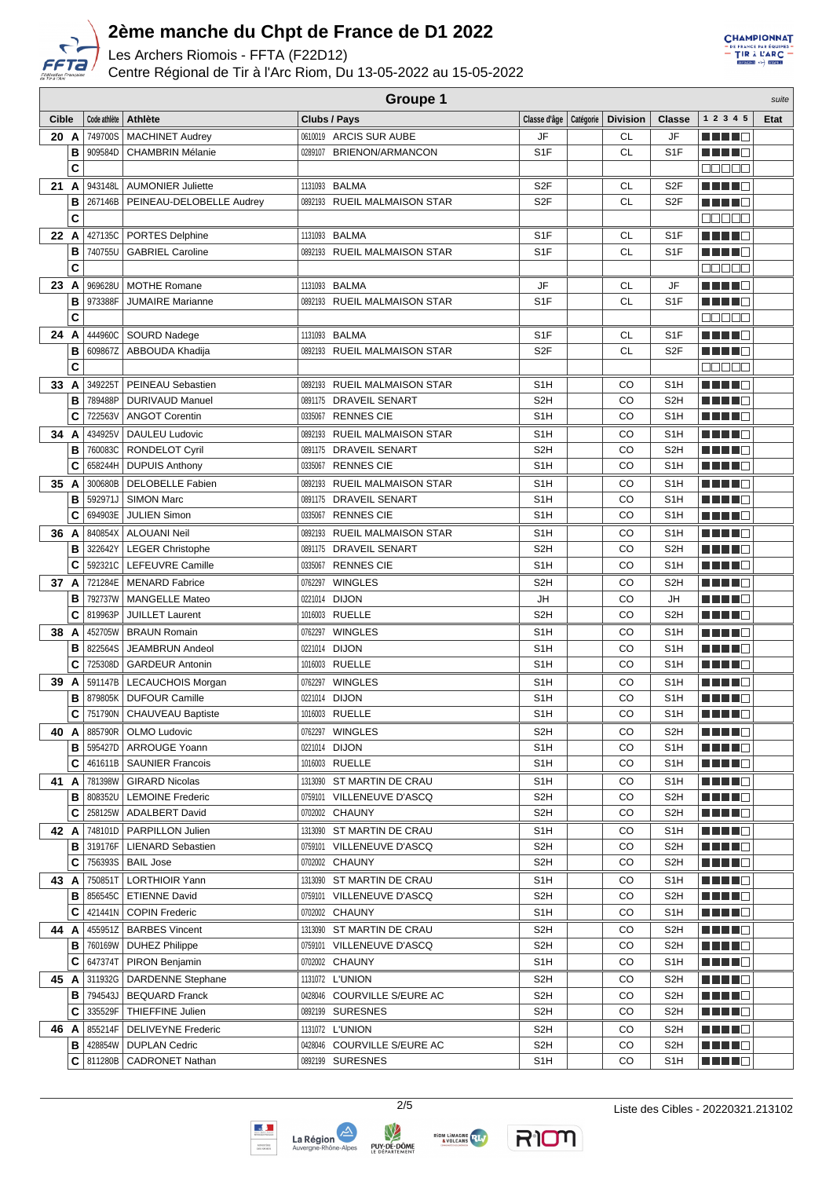

Les Archers Riomois - FFTA (F22D12)

Centre Régional de Tir à l'Arc Riom, Du 13-05-2022 au 15-05-2022



|              | <b>Groupe 1</b><br>suite |              |                             |                                        |                                     |  |           |                  |                                                                                                                       |      |  |
|--------------|--------------------------|--------------|-----------------------------|----------------------------------------|-------------------------------------|--|-----------|------------------|-----------------------------------------------------------------------------------------------------------------------|------|--|
| <b>Cible</b> |                          | Code athlète | Athlète                     | Clubs / Pays                           | Classe d'âge   Catégorie   Division |  |           | <b>Classe</b>    | 1 2 3 4 5                                                                                                             | Etat |  |
| 20 A         |                          | 749700S      | <b>MACHINET Audrey</b>      | 0610019 ARCIS SUR AUBE                 | JF                                  |  | <b>CL</b> | JF               | MA MARIT                                                                                                              |      |  |
|              | В                        | 909584D      | <b>CHAMBRIN Mélanie</b>     | 0289107 BRIENON/ARMANCON               | S <sub>1</sub> F                    |  | <b>CL</b> | S <sub>1</sub> F | MA MARINA                                                                                                             |      |  |
|              | C                        |              |                             |                                        |                                     |  |           |                  | Maaan                                                                                                                 |      |  |
| 21 A         |                          | 943148L      | <b>AUMONIER Juliette</b>    | 1131093 BALMA                          | S <sub>2</sub> F                    |  | СL        | S <sub>2</sub> F | MA MARIT                                                                                                              |      |  |
|              | В                        | 267146B      | PEINEAU-DELOBELLE Audrey    | 0892193 RUEIL MALMAISON STAR           | S <sub>2</sub> F                    |  | СL        | S <sub>2F</sub>  | ma mata                                                                                                               |      |  |
|              | C                        |              |                             |                                        |                                     |  |           |                  | <u> 2000a</u>                                                                                                         |      |  |
| 22 A         |                          | 427135C      | PORTES Delphine             | 1131093 BALMA                          | S <sub>1</sub> F                    |  | CL        | S <sub>1</sub> F | MA MARIT                                                                                                              |      |  |
|              | B                        | 740755U      | <b>GABRIEL Caroline</b>     | 0892193 RUEIL MALMAISON STAR           | S <sub>1</sub> F                    |  | <b>CL</b> | S <sub>1</sub> F | <u> Herman Se</u>                                                                                                     |      |  |
|              | C                        |              |                             |                                        |                                     |  |           |                  | Maaan                                                                                                                 |      |  |
| 23 A         |                          | 969628U      | <b>MOTHE Romane</b>         | 1131093 BALMA                          | JF                                  |  | CL        | JF               | <u>Little C</u>                                                                                                       |      |  |
|              | B                        | 973388F      | <b>JUMAIRE Marianne</b>     | 0892193 RUEIL MALMAISON STAR           | S <sub>1</sub> F                    |  | <b>CL</b> | S <sub>1</sub> F | ma mata                                                                                                               |      |  |
|              | C                        |              |                             |                                        |                                     |  |           |                  | an a sh                                                                                                               |      |  |
| 24 A         |                          | 444960C      | SOURD Nadege                | 1131093 BALMA                          | S <sub>1</sub> F                    |  | CL        | S <sub>1</sub> F | <u> El Bel</u>                                                                                                        |      |  |
|              | В                        | 609867Z      | ABBOUDA Khadija             | 0892193 RUEIL MALMAISON STAR           | S <sub>2</sub> F                    |  | <b>CL</b> | S <sub>2</sub> F |                                                                                                                       |      |  |
|              | C                        |              |                             |                                        |                                     |  |           |                  | ana na                                                                                                                |      |  |
| 33 A         |                          | 349225T      | PEINEAU Sebastien           | 0892193 RUEIL MALMAISON STAR           | S <sub>1</sub> H                    |  | CO        | S <sub>1</sub> H | ma mata                                                                                                               |      |  |
|              | B                        | 789488P      | <b>DURIVAUD Manuel</b>      | 0891175 DRAVEIL SENART                 | S <sub>2</sub> H                    |  | CO        | S <sub>2</sub> H |                                                                                                                       |      |  |
|              | C                        | 722563V      | <b>ANGOT Corentin</b>       | 0335067 RENNES CIE                     | S <sub>1</sub> H                    |  | CO        | S <sub>1</sub> H | Martin Ba                                                                                                             |      |  |
| 34 A         |                          | 434925V      | DAULEU Ludovic              | 0892193 RUEIL MALMAISON STAR           | S <sub>1</sub> H                    |  | CO        | S <sub>1</sub> H | n din Fin                                                                                                             |      |  |
|              | в                        | 760083C      | <b>RONDELOT Cyril</b>       | 0891175 DRAVEIL SENART                 | S <sub>2</sub> H                    |  | CO        | S <sub>2</sub> H | n di Tinggi                                                                                                           |      |  |
|              | C                        | 658244H      | <b>DUPUIS Anthony</b>       | 0335067 RENNES CIE                     | S <sub>1</sub> H                    |  | CO        | S <sub>1</sub> H | MA MARINA                                                                                                             |      |  |
| 35 A         |                          | 300680B      | <b>DELOBELLE Fabien</b>     | <b>RUEIL MALMAISON STAR</b><br>0892193 | S <sub>1</sub> H                    |  | CO        | S <sub>1</sub> H | MA MAR                                                                                                                |      |  |
|              | в                        | 592971J      | <b>SIMON Marc</b>           | 0891175 DRAVEIL SENART                 | S <sub>1</sub> H                    |  | CO        | S <sub>1</sub> H | a da bir bir                                                                                                          |      |  |
|              | C                        | 694903E      | <b>JULIEN Simon</b>         | 0335067 RENNES CIE                     | S <sub>1</sub> H                    |  | CO        | S <sub>1</sub> H | <u> El Bel</u>                                                                                                        |      |  |
| 36 A         |                          | 840854X      | ALOUANI Neil                | RUEIL MALMAISON STAR<br>0892193        | S <sub>1</sub> H                    |  | CO        | S <sub>1</sub> H | MA MARI                                                                                                               |      |  |
|              | B                        | 322642Y      | <b>LEGER Christophe</b>     | 0891175<br>DRAVEIL SENART              | S <sub>2</sub> H                    |  | CO        | S <sub>2</sub> H | MA MARI                                                                                                               |      |  |
|              | C                        | 592321C      | LEFEUVRE Camille            | 0335067 RENNES CIE                     | S <sub>1</sub> H                    |  | CO        | S <sub>1</sub> H | MA MARI                                                                                                               |      |  |
| 37 A         |                          | 721284E      | MENARD Fabrice              | <b>WINGLES</b><br>0762297              | S <sub>2</sub> H                    |  | CO        | S <sub>2</sub> H | MA MAR                                                                                                                |      |  |
|              | B                        | 792737W      | <b>MANGELLE Mateo</b>       | <b>DIJON</b><br>0221014                | JH                                  |  | CO        | JH               | MA MAR                                                                                                                |      |  |
|              | C                        | 819963P      | <b>JUILLET Laurent</b>      | 1016003 RUELLE                         | S <sub>2</sub> H                    |  | CO        | S <sub>2</sub> H | <u> Literatur – Literatur – Literatur – Literatur – Literatur – Literatur – Literatur – Literatur – Literatur – L</u> |      |  |
| 38 A         |                          | 452705W      | <b>BRAUN Romain</b>         | <b>WINGLES</b><br>0762297              | S <sub>1</sub> H                    |  | CO        | S <sub>1</sub> H | MA MARI                                                                                                               |      |  |
|              | в                        | 822564S      | <b>JEAMBRUN Andeol</b>      | 0221014 DIJON                          | S <sub>1</sub> H                    |  | CO        | S <sub>1</sub> H | HH H H                                                                                                                |      |  |
|              | C                        | 725308D      | <b>GARDEUR Antonin</b>      | 1016003 RUELLE                         | S <sub>1</sub> H                    |  | CO        | S <sub>1</sub> H | <u> E Ser</u>                                                                                                         |      |  |
| 39           | A                        |              | 591147B   LECAUCHOIS Morgan | 0762297 WINGLES                        | S <sub>1</sub> H                    |  | CO        | S <sub>1</sub> H | ma mata                                                                                                               |      |  |
|              | в                        |              | 879805K   DUFOUR Camille    | 0221014 DIJON                          | S <sub>1</sub> H                    |  | CO        | S <sub>1</sub> H |                                                                                                                       |      |  |
|              | C                        |              | 751790N   CHAUVEAU Baptiste | 1016003 RUELLE                         | S <sub>1</sub> H                    |  | CO        | S <sub>1</sub> H | a di kacamatan Ing                                                                                                    |      |  |
| 40 A         |                          |              | 885790R   OLMO Ludovic      | 0762297 WINGLES                        | S2H                                 |  | CO        | S <sub>2</sub> H | <u> Literatur C</u>                                                                                                   |      |  |
|              | в                        | 595427D      | <b>ARROUGE Yoann</b>        | 0221014 DIJON                          | S1H                                 |  | CO        | S <sub>1</sub> H | <u>Little C</u>                                                                                                       |      |  |
|              | С                        |              | 461611B   SAUNIER Francois  | 1016003 RUELLE                         | S1H                                 |  | CO        | S <sub>1</sub> H | <u> Literatur</u>                                                                                                     |      |  |
| 41 A         |                          | 781398W      | <b>GIRARD Nicolas</b>       | 1313090 ST MARTIN DE CRAU              | S1H                                 |  | CO        | S <sub>1</sub> H | <u> Literatur</u>                                                                                                     |      |  |
|              | в                        | 808352U      | <b>LEMOINE Frederic</b>     | 0759101 VILLENEUVE D'ASCQ              | S2H                                 |  | CO        | S <sub>2</sub> H | <u> Literatur in Se</u>                                                                                               |      |  |
|              | C                        | 258125W      | <b>ADALBERT David</b>       | 0702002 CHAUNY                         | S <sub>2</sub> H                    |  | CO        | S <sub>2</sub> H | <u> Literatur</u>                                                                                                     |      |  |
| 42 A         |                          | 748101D      | <b>PARPILLON Julien</b>     | 1313090 ST MARTIN DE CRAU              | S1H                                 |  | CO        | S <sub>1</sub> H | MA MAR                                                                                                                |      |  |
|              | в                        |              | 319176F   LIENARD Sebastien | 0759101 VILLENEUVE D'ASCQ              | S <sub>2</sub> H                    |  | CO        | S <sub>2</sub> H | MA MAR                                                                                                                |      |  |
|              | C                        |              | 756393S   BAIL Jose         | 0702002 CHAUNY                         | S <sub>2</sub> H                    |  | CO        | S <sub>2</sub> H | <u> Literatur</u>                                                                                                     |      |  |
| 43 A         |                          | 750851T      | <b>LORTHIOIR Yann</b>       | 1313090 ST MARTIN DE CRAU              | S1H                                 |  | CO        | S <sub>1</sub> H | ME HE H                                                                                                               |      |  |
|              | в                        | 856545C      | <b>ETIENNE David</b>        | 0759101 VILLENEUVE D'ASCQ              | S <sub>2</sub> H                    |  | CO        | S <sub>2</sub> H | a di Bandar                                                                                                           |      |  |
|              | C                        | 421441N      | <b>COPIN Frederic</b>       | 0702002 CHAUNY                         | S1H                                 |  | CO        | S <sub>1</sub> H | <u>Li Li Li C</u>                                                                                                     |      |  |
| 44 A         |                          |              | 455951Z   BARBES Vincent    | 1313090 ST MARTIN DE CRAU              | S <sub>2</sub> H                    |  | CO        | S <sub>2</sub> H | <u> Literatur C</u>                                                                                                   |      |  |
|              | в                        |              | 760169W   DUHEZ Philippe    | 0759101 VILLENEUVE D'ASCQ              | S <sub>2</sub> H                    |  | CO        | S <sub>2</sub> H | <u> Literatur</u>                                                                                                     |      |  |
|              | C                        | 647374T      | <b>PIRON Benjamin</b>       | 0702002 CHAUNY                         | S1H                                 |  | CO        | S <sub>1</sub> H | <u> El Bel</u>                                                                                                        |      |  |
| 45 A         |                          |              | 311932G   DARDENNE Stephane | 1131072 L'UNION                        | S <sub>2</sub> H                    |  | CO        | S <sub>2</sub> H |                                                                                                                       |      |  |
|              | в                        | 794543J      | <b>BEQUARD Franck</b>       | 0428046 COURVILLE S/EURE AC            | S <sub>2</sub> H                    |  | CO        | S <sub>2</sub> H | <u> Literatur</u>                                                                                                     |      |  |
|              | C                        | 335529F      | THIEFFINE Julien            | 0892199 SURESNES                       | S2H                                 |  | CO        | S <sub>2</sub> H | <u>Li Li Li C</u>                                                                                                     |      |  |
| 46 A         |                          | 855214F      | <b>DELIVEYNE Frederic</b>   | 1131072 L'UNION                        | S <sub>2</sub> H                    |  | CO        | S <sub>2</sub> H | <u> Literatur</u>                                                                                                     |      |  |
|              | B                        | 428854W      | <b>DUPLAN Cedric</b>        | 0428046 COURVILLE S/EURE AC            | S <sub>2</sub> H                    |  | CO        | S <sub>2</sub> H | MA MARI                                                                                                               |      |  |
|              | C                        |              | 811280B   CADRONET Nathan   | 0892199 SURESNES                       | S1H                                 |  | CO        | S <sub>1</sub> H | MA MAR                                                                                                                |      |  |





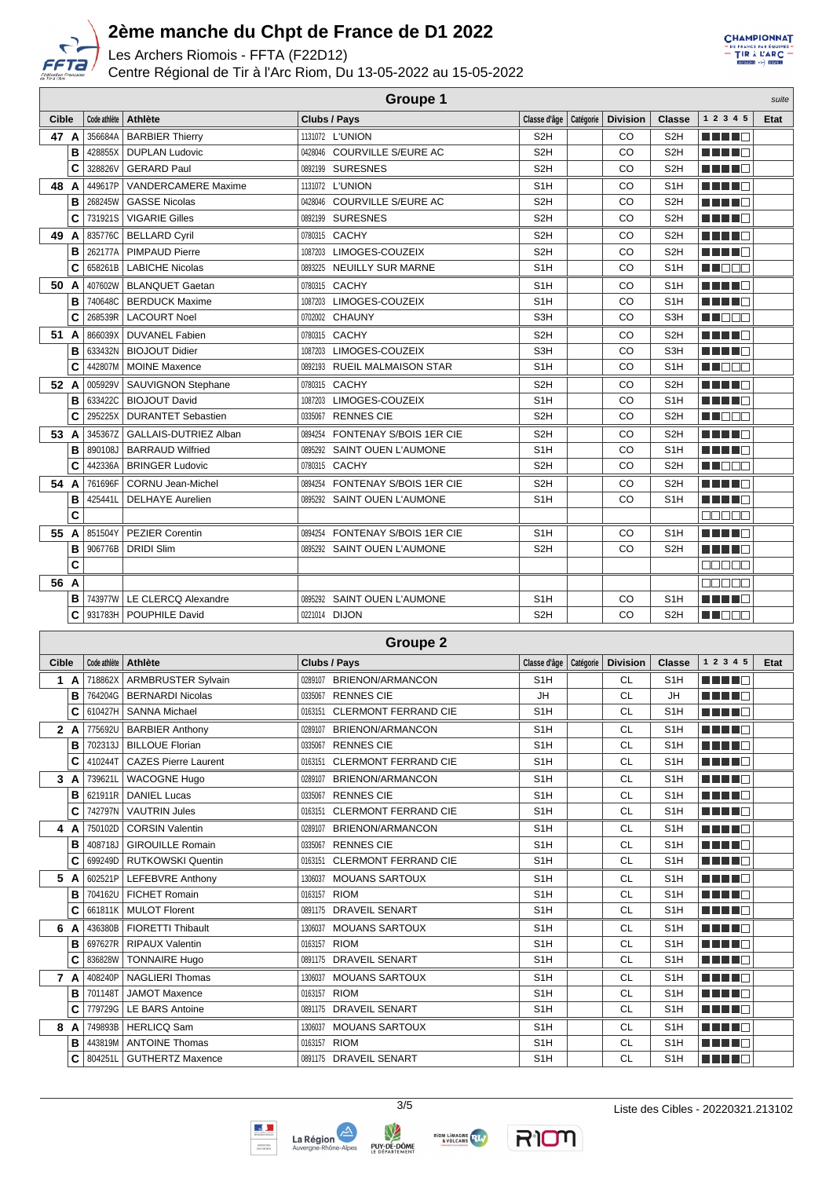

Les Archers Riomois - FFTA (F22D12)

Centre Régional de Tir à l'Arc Riom, Du 13-05-2022 au 15-05-2022



|       | <b>Groupe 1</b><br>suite |              |                               |                                 |                  |           |                 |                  |           |      |  |
|-------|--------------------------|--------------|-------------------------------|---------------------------------|------------------|-----------|-----------------|------------------|-----------|------|--|
| Cible |                          | Code athlète | Athlète                       | Clubs / Pays                    | Classe d'âge     | Catégorie | <b>Division</b> | <b>Classe</b>    | 1 2 3 4 5 | Etat |  |
| 47 A  |                          | 356684A      | <b>BARBIER Thierry</b>        | 1131072 L'UNION                 | S <sub>2</sub> H |           | CO              | S <sub>2</sub> H | MA MARIT  |      |  |
|       | в                        | 428855X      | <b>DUPLAN Ludovic</b>         | 0428046 COURVILLE S/EURE AC     | S <sub>2</sub> H |           | CO              | S <sub>2</sub> H | TI TITIN  |      |  |
|       | C                        | 328826V      | <b>GERARD Paul</b>            | 0892199 SURESNES                | S <sub>2</sub> H |           | CO              | S <sub>2</sub> H | MA MARIT  |      |  |
| 48    | A                        | 449617P      | <b>VANDERCAMERE Maxime</b>    | 1131072 L'UNION                 | S <sub>1</sub> H |           | CO              | S <sub>1</sub> H | MA MARIT  |      |  |
|       | B                        | 268245W      | <b>GASSE Nicolas</b>          | 0428046 COURVILLE S/EURE AC     | S <sub>2</sub> H |           | CO              | S <sub>2H</sub>  | n din se  |      |  |
|       | С                        | 731921S      | <b>VIGARIE Gilles</b>         | 0892199 SURESNES                | S <sub>2</sub> H |           | CO              | S <sub>2</sub> H | MA ME     |      |  |
| 49    | A                        |              | 835776C   BELLARD Cyril       | 0780315 CACHY                   | S <sub>2</sub> H |           | CO              | S <sub>2</sub> H | MA MAR    |      |  |
|       | B                        | 262177A      | PIMPAUD Pierre                | 1087203 LIMOGES-COUZEIX         | S <sub>2H</sub>  |           | CO              | S <sub>2</sub> H | n na ma   |      |  |
|       | C                        | 658261B      | <b>LABICHE Nicolas</b>        | 0893225 NEUILLY SUR MARNE       | S <sub>1</sub> H |           | CO              | S <sub>1</sub> H | M BEE     |      |  |
| 50 A  |                          |              | 407602W   BLANQUET Gaetan     | 0780315 CACHY                   | S <sub>1</sub> H |           | CO              | S <sub>1</sub> H | MA MARIT  |      |  |
|       | B                        | 740648C      | <b>BERDUCK Maxime</b>         | 1087203 LIMOGES-COUZEIX         | S <sub>1</sub> H |           | CO              | S <sub>1</sub> H | MA MA     |      |  |
|       | C                        | 268539R      | <b>LACOURT Noel</b>           | 0702002 CHAUNY                  | S <sub>3H</sub>  |           | CO              | S <sub>3</sub> H | MAN DEL 1 |      |  |
| 51    | A                        | 866039X      | <b>DUVANEL Fabien</b>         | 0780315 CACHY                   | S <sub>2H</sub>  |           | CO              | S <sub>2</sub> H | n din ser |      |  |
|       | в                        | 633432N      | <b>BIOJOUT Didier</b>         | 1087203 LIMOGES-COUZEIX         | S3H              |           | CO              | S3H              | n in Fin  |      |  |
|       | C                        | 442807M      | <b>MOINE Maxence</b>          | 0892193 RUEIL MALMAISON STAR    | S <sub>1</sub> H |           | CO              | S <sub>1</sub> H | M NO SE   |      |  |
| 52 A  |                          | 005929V      | SAUVIGNON Stephane            | 0780315 CACHY                   | S <sub>2</sub> H |           | CO              | S <sub>2</sub> H | MA MARI   |      |  |
|       | B                        | 633422C      | <b>BIOJOUT David</b>          | 1087203 LIMOGES-COUZEIX         | S <sub>1</sub> H |           | CO              | S <sub>1</sub> H | n na mata |      |  |
|       | С                        | 295225X      | <b>DURANTET Sebastien</b>     | 0335067 RENNES CIE              | S <sub>2</sub> H |           | CO              | S <sub>2</sub> H | M DOO     |      |  |
| 53 A  |                          |              | 345367Z GALLAIS-DUTRIEZ Alban | 0894254 FONTENAY S/BOIS 1ER CIE | S <sub>2</sub> H |           | CO              | S <sub>2</sub> H | n din Fin |      |  |
|       | в                        | 890108J      | <b>BARRAUD Wilfried</b>       | 0895292 SAINT OUEN L'AUMONE     | S <sub>1</sub> H |           | CO              | S <sub>1</sub> H | n in Fin  |      |  |
|       | С                        | 442336A      | <b>BRINGER Ludovic</b>        | 0780315 CACHY                   | S <sub>2</sub> H |           | CO              | S <sub>2</sub> H | MN O BIB  |      |  |
| 54 A  |                          |              | 761696F   CORNU Jean-Michel   | 0894254 FONTENAY S/BOIS 1ER CIE | S <sub>2</sub> H |           | CO              | S <sub>2</sub> H | MA MARIT  |      |  |
|       | B                        | 425441L      | <b>DELHAYE Aurelien</b>       | 0895292 SAINT OUEN L'AUMONE     | S <sub>1</sub> H |           | CO              | S <sub>1</sub> H | H H H H   |      |  |
|       | C                        |              |                               |                                 |                  |           |                 |                  | an sa s   |      |  |
| 55 A  |                          |              | 851504Y   PEZIER Corentin     | 0894254 FONTENAY S/BOIS 1ER CIE | S <sub>1</sub> H |           | CO              | S <sub>1</sub> H | H H H H   |      |  |
|       | B                        | 906776B      | <b>DRIDI Slim</b>             | 0895292 SAINT OUEN L'AUMONE     | S <sub>2</sub> H |           | CO              | S <sub>2</sub> H | MA MARIT  |      |  |
|       | C                        |              |                               |                                 |                  |           |                 |                  | e e e e e |      |  |
| 56 A  |                          |              |                               |                                 |                  |           |                 |                  | nn nn n   |      |  |
|       | в                        |              | 743977W   LE CLERCQ Alexandre | 0895292 SAINT OUEN L'AUMONE     | S <sub>1</sub> H |           | CO              | S <sub>1</sub> H | MA MARI   |      |  |
|       | С                        |              | 931783H   POUPHILE David      | 0221014 DIJON                   | S <sub>2H</sub>  |           | CO              | S2H              | M DO D    |      |  |

| <b>Groupe 2</b> |     |              |                             |                                        |                  |           |                 |                  |           |      |  |
|-----------------|-----|--------------|-----------------------------|----------------------------------------|------------------|-----------|-----------------|------------------|-----------|------|--|
| Cible           |     | Code athlète | <b>Athlète</b>              | Clubs / Pays                           | Classe d'âge     | Catégorie | <b>Division</b> | Classe           | 1 2 3 4 5 | Etat |  |
| 1<br>A          |     | 718862X      | <b>ARMBRUSTER Sylvain</b>   | <b>BRIENON/ARMANCON</b><br>0289107     | S <sub>1</sub> H |           | <b>CL</b>       | S <sub>1</sub> H | n nin n   |      |  |
|                 | в   | 764204G      | <b>BERNARDI Nicolas</b>     | <b>RENNES CIE</b><br>0335067           | <b>JH</b>        |           | <b>CL</b>       | <b>JH</b>        | n din Fin |      |  |
|                 | C   | 610427H      | SANNA Michael               | <b>CLERMONT FERRAND CIE</b><br>0163151 | S <sub>1</sub> H |           | <b>CL</b>       | S <sub>1</sub> H | S VITED   |      |  |
| $\mathbf{2}$    | A   | 775692U      | <b>BARBIER Anthony</b>      | <b>BRIENON/ARMANCON</b><br>0289107     | S <sub>1</sub> H |           | <b>CL</b>       | S <sub>1</sub> H | U U U U O |      |  |
|                 | в   | 702313J      | <b>BILLOUE Florian</b>      | <b>RENNES CIE</b><br>0335067           | S <sub>1</sub> H |           | <b>CL</b>       | S <sub>1</sub> H | MA MARIT  |      |  |
|                 | C   | 410244T      | <b>CAZES Pierre Laurent</b> | <b>CLERMONT FERRAND CIE</b><br>0163151 | S <sub>1</sub> H |           | <b>CL</b>       | S <sub>1</sub> H | MA NGC    |      |  |
| 3               | A   | 739621L      | <b>WACOGNE Hugo</b>         | <b>BRIENON/ARMANCON</b><br>0289107     | S <sub>1</sub> H |           | <b>CL</b>       | S <sub>1</sub> H | n na mata |      |  |
|                 | в   | 621911R      | <b>DANIEL Lucas</b>         | <b>RENNES CIE</b><br>0335067           | S <sub>1</sub> H |           | <b>CL</b>       | S <sub>1</sub> H | n na m    |      |  |
|                 | C   | 742797N      | <b>VAUTRIN Jules</b>        | <b>CLERMONT FERRAND CIE</b><br>0163151 | S <sub>1</sub> H |           | <b>CL</b>       | S <sub>1</sub> H | n na ma   |      |  |
|                 | 4 A | 750102D      | <b>CORSIN Valentin</b>      | BRIENON/ARMANCON<br>0289107            | S <sub>1</sub> H |           | <b>CL</b>       | S <sub>1</sub> H | ma man    |      |  |
|                 | в   | 408718J      | <b>GIROUILLE Romain</b>     | <b>RENNES CIE</b><br>0335067           | S <sub>1</sub> H |           | <b>CL</b>       | S <sub>1</sub> H | n na m    |      |  |
|                 | C   |              | 699249D   RUTKOWSKI Quentin | 0163151 CLERMONT FERRAND CIE           | S <sub>1</sub> H |           | <b>CL</b>       | S <sub>1</sub> H | n na m    |      |  |
| 5               | A   | 602521P      | LEFEBVRE Anthony            | <b>MOUANS SARTOUX</b><br>1306037       | S <sub>1</sub> H |           | <b>CL</b>       | S <sub>1</sub> H | n nin n   |      |  |
|                 | в   | 704162U      | <b>FICHET Romain</b>        | <b>RIOM</b><br>0163157                 | S <sub>1</sub> H |           | <b>CL</b>       | S <sub>1</sub> H | n na m    |      |  |
|                 | C   | 661811K      | MULOT Florent               | 0891175 DRAVEIL SENART                 | S <sub>1</sub> H |           | <b>CL</b>       | S <sub>1</sub> H | n din Fil |      |  |
| 6               | A   | 436380B      | FIORETTI Thibault           | <b>MOUANS SARTOUX</b><br>1306037       | S <sub>1</sub> H |           | <b>CL</b>       | S <sub>1</sub> H | n na m    |      |  |
|                 | B   | 697627R      | RIPAUX Valentin             | 0163157 RIOM                           | S <sub>1</sub> H |           | <b>CL</b>       | S <sub>1</sub> H | n din N   |      |  |
|                 | C   | 836828W      | <b>TONNAIRE Hugo</b>        | 0891175 DRAVEIL SENART                 | S <sub>1</sub> H |           | <b>CL</b>       | S <sub>1</sub> H | MA MARIT  |      |  |
| $\overline{7}$  | A   | 408240P      | <b>NAGLIERI Thomas</b>      | <b>MOUANS SARTOUX</b><br>1306037       | S <sub>1</sub> H |           | <b>CL</b>       | S <sub>1</sub> H | n din bin |      |  |
|                 | в   | 701148T      | <b>JAMOT Maxence</b>        | <b>RIOM</b><br>0163157                 | S <sub>1</sub> H |           | <b>CL</b>       | S <sub>1</sub> H | n din Fin |      |  |
|                 | C   | 779729G      | <b>LE BARS Antoine</b>      | <b>DRAVEIL SENART</b><br>0891175       | S <sub>1</sub> H |           | <b>CL</b>       | S <sub>1</sub> H | n na m    |      |  |
| 8               | A   | 749893B      | <b>HERLICQ Sam</b>          | <b>MOUANS SARTOUX</b><br>1306037       | S <sub>1</sub> H |           | <b>CL</b>       | S <sub>1</sub> H | MA MARIT  |      |  |
|                 | в   | 443819M      | <b>ANTOINE Thomas</b>       | 0163157 RIOM                           | S <sub>1</sub> H |           | <b>CL</b>       | S <sub>1</sub> H | n din N   |      |  |
|                 | C   | 804251L      | GUTHERTZ Maxence            | 0891175 DRAVEIL SENART                 | S <sub>1</sub> H |           | <b>CL</b>       | S <sub>1</sub> H | n na ma   |      |  |







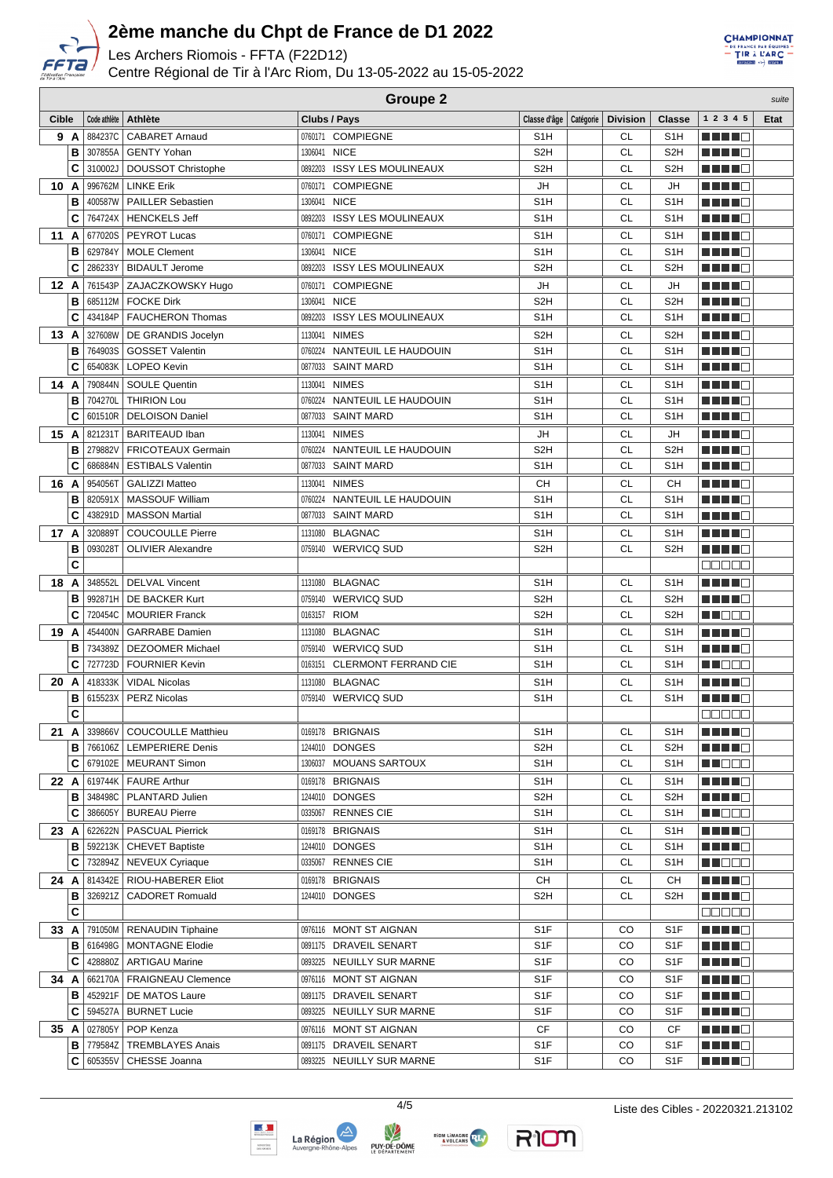

Les Archers Riomois - FFTA (F22D12)

Centre Régional de Tir à l'Arc Riom, Du 13-05-2022 au 15-05-2022



|    |                  | <b>Groupe 2</b><br>suite |                                                      |                                    |                                     |  |           |                         |                              |             |  |  |
|----|------------------|--------------------------|------------------------------------------------------|------------------------------------|-------------------------------------|--|-----------|-------------------------|------------------------------|-------------|--|--|
|    | Cible            |                          | Code athlète   Athlète                               | Clubs / Pays                       | Classe d'âge   Catégorie   Division |  |           | <b>Classe</b>           | 1 2 3 4 5                    | <b>Etat</b> |  |  |
|    | 9 A              | 884237C                  | <b>CABARET Arnaud</b>                                | 0760171 COMPIEGNE                  | S <sub>1</sub> H                    |  | <b>CL</b> | S <sub>1</sub> H        | 8 H H 18                     |             |  |  |
|    | B                | 307855A                  | <b>GENTY Yohan</b>                                   | 1306041 NICE                       | S <sub>2</sub> H                    |  | <b>CL</b> | S <sub>2</sub> H        |                              |             |  |  |
|    | C                | 310002J                  | <b>DOUSSOT Christophe</b>                            | 0892203 ISSY LES MOULINEAUX        | S <sub>2</sub> H                    |  | CL        | S <sub>2</sub> H        |                              |             |  |  |
|    | 10 A             |                          | 996762M   LINKE Erik                                 | 0760171 COMPIEGNE                  | JH                                  |  | <b>CL</b> | JH                      | MA MARINA                    |             |  |  |
|    | B                | 400587W                  | <b>PAILLER Sebastien</b>                             | 1306041 NICE                       | S <sub>1</sub> H                    |  | CL        | S <sub>1</sub> H        | MAN ME                       |             |  |  |
|    | C                | 764724X                  | HENCKELS Jeff                                        | 0892203 ISSY LES MOULINEAUX        | S <sub>1</sub> H                    |  | <b>CL</b> | S <sub>1</sub> H        |                              |             |  |  |
|    | 11 A             | 677020S                  | PEYROT Lucas                                         | 0760171 COMPIEGNE                  | S <sub>1</sub> H                    |  | CL        | S <sub>1</sub> H        | a di Bandar                  |             |  |  |
|    | B                | 629784Y                  | <b>MOLE Clement</b>                                  | 1306041 NICE                       | S <sub>1</sub> H                    |  | <b>CL</b> | S <sub>1</sub> H        | MA MAR                       |             |  |  |
|    | C                | 286233Y                  | <b>BIDAULT Jerome</b>                                | 0892203 ISSY LES MOULINEAUX        | S <sub>2</sub> H                    |  | <b>CL</b> | S <sub>2</sub> H        |                              |             |  |  |
|    | 12 A             | 761543P                  | ZAJACZKOWSKY Hugo                                    | 0760171 COMPIEGNE                  | JH                                  |  | CL        | JH                      | n din bin                    |             |  |  |
|    | B                | 685112M                  | <b>FOCKE Dirk</b>                                    | 1306041 NICE                       | S <sub>2</sub> H                    |  | <b>CL</b> | S <sub>2</sub> H        | M M M M M                    |             |  |  |
|    | C                | 434184P                  | <b>FAUCHERON Thomas</b>                              | 0892203 ISSY LES MOULINEAUX        | S <sub>1</sub> H                    |  | CL        | S <sub>1</sub> H        | H H H C                      |             |  |  |
|    | 13 A             | 327608W                  | DE GRANDIS Jocelyn                                   | 1130041 NIMES                      | S <sub>2</sub> H                    |  | CL        | S <sub>2</sub> H        | H H H E                      |             |  |  |
|    | B                | 764903S                  | <b>GOSSET Valentin</b>                               | 0760224 NANTEUIL LE HAUDOUIN       | S <sub>1</sub> H                    |  | <b>CL</b> | S <sub>1</sub> H        | <u> Here i sv</u>            |             |  |  |
|    | C                | 654083K                  | LOPEO Kevin                                          | 0877033 SAINT MARD                 | S <sub>1</sub> H                    |  | CL        | S <sub>1</sub> H        | MA MARIT                     |             |  |  |
|    | 14 A             | 790844N                  | <b>SOULE Quentin</b>                                 | 1130041 NIMES                      | S <sub>1</sub> H                    |  | CL        | S <sub>1</sub> H        | MA MAR                       |             |  |  |
|    | B                | 704270L                  | <b>THIRION Lou</b>                                   | 0760224 NANTEUIL LE HAUDOUIN       | S <sub>1</sub> H                    |  | <b>CL</b> | S <sub>1</sub> H        |                              |             |  |  |
|    | C                | 601510R                  | <b>DELOISON Daniel</b>                               | 0877033 SAINT MARD                 | S <sub>1</sub> H                    |  | CL        | S <sub>1</sub> H        | MA MARI                      |             |  |  |
|    | 15 A             | 821231T                  | <b>BARITEAUD Iban</b>                                | 1130041 NIMES                      | JH                                  |  | <b>CL</b> | JH                      | <u>Literatur</u>             |             |  |  |
|    | B                | 279882V                  | <b>FRICOTEAUX Germain</b>                            | 0760224 NANTEUIL LE HAUDOUIN       | S <sub>2</sub> H                    |  | <b>CL</b> | S <sub>2</sub> H        | M M M M M                    |             |  |  |
|    | C                | 686884N                  | <b>ESTIBALS Valentin</b>                             | 0877033 SAINT MARD                 | S <sub>1</sub> H                    |  | <b>CL</b> | S <sub>1</sub> H        | MAN ME                       |             |  |  |
|    | 16 A             | 954056T                  | <b>GALIZZI Matteo</b>                                | 1130041 NIMES                      | <b>CH</b>                           |  | <b>CL</b> | CН                      | MA NGC                       |             |  |  |
|    | B                | 820591X                  | <b>MASSOUF William</b>                               | 0760224 NANTEUIL LE HAUDOUIN       | S <sub>1</sub> H                    |  | <b>CL</b> | S <sub>1</sub> H        | MA MATE                      |             |  |  |
|    | C                | 438291D                  | <b>MASSON Martial</b>                                | 0877033 SAINT MARD                 | S <sub>1</sub> H                    |  | CL        | S <sub>1</sub> H        | a di Ba                      |             |  |  |
|    | 17 A             | 320889T                  | <b>COUCOULLE Pierre</b>                              | 1131080 BLAGNAC                    | S <sub>1</sub> H                    |  | <b>CL</b> | S <sub>1</sub> H        | MA MAR                       |             |  |  |
|    | В                | 093028T                  | <b>OLIVIER Alexandre</b>                             | 0759140 WERVICQ SUD                | S <sub>2</sub> H                    |  | <b>CL</b> | S <sub>2</sub> H        | Martin Ma                    |             |  |  |
|    | C                |                          |                                                      |                                    |                                     |  |           |                         | <b>00000</b>                 |             |  |  |
| 18 | A                | 348552L                  | <b>DELVAL Vincent</b>                                | 1131080 BLAGNAC                    | S <sub>1</sub> H                    |  | <b>CL</b> | S <sub>1</sub> H        | MA MAD                       |             |  |  |
|    | B                |                          | 992871H   DE BACKER Kurt                             | 0759140 WERVICQ SUD                | S <sub>2</sub> H                    |  | <b>CL</b> | S <sub>2</sub> H        | MA MAR                       |             |  |  |
|    | C                | 720454C                  | <b>MOURIER Franck</b>                                | 0163157 RIOM                       | S <sub>2H</sub>                     |  | <b>CL</b> | S <sub>2H</sub>         | M DOO                        |             |  |  |
|    | 19 A             |                          | 454400N GARRABE Damien                               | 1131080 BLAGNAC                    | S <sub>1</sub> H                    |  | <b>CL</b> | S <sub>1</sub> H        | MA MARI                      |             |  |  |
|    | в                | 734389Z                  | <b>DEZOOMER Michael</b>                              | 0759140 WERVICQ SUD                | S <sub>1</sub> H                    |  | <b>CL</b> | S <sub>1</sub> H        |                              |             |  |  |
|    | C                | 727723D                  | <b>FOURNIER Kevin</b>                                | 0163151 CLERMONT FERRAND CIE       | S <sub>1</sub> H                    |  | <b>CL</b> | S <sub>1</sub> H        | M NOCH                       |             |  |  |
|    | 20 A             | 418333K                  | <b>VIDAL Nicolas</b>                                 | 1131080 BLAGNAC                    | S <sub>1</sub> H                    |  | <b>CL</b> | S <sub>1</sub> H        | MA MARIT                     |             |  |  |
|    | В<br>$\mathbf c$ | 615523X                  | <b>PERZ Nicolas</b>                                  | 0759140 WERVICQ SUD                | S <sub>1</sub> H                    |  | <b>CL</b> | S <sub>1</sub> H        | <b>00000</b>                 |             |  |  |
|    |                  |                          |                                                      |                                    |                                     |  |           |                         |                              |             |  |  |
|    | 21 A<br>в        | 339866V<br>766106Z       | <b>COUCOULLE Matthieu</b><br><b>LEMPERIERE Denis</b> | 0169178 BRIGNAIS<br>1244010 DONGES | S1H<br>S <sub>2</sub> H             |  | СL<br>CL  | S1H<br>S <sub>2</sub> H | a di kacamatan Ing<br>HH H H |             |  |  |
|    | C                |                          | 679102E   MEURANT Simon                              | 1306037 MOUANS SARTOUX             | S1H                                 |  | CL        | S <sub>1</sub> H        | M D D D                      |             |  |  |
|    | 22 A             | 619744K                  | FAURE Arthur                                         | 0169178 BRIGNAIS                   | S1H                                 |  | CL        | S <sub>1</sub> H        | MA MARIT                     |             |  |  |
|    | в                | 348498C                  | PLANTARD Julien                                      | 1244010 DONGES                     | S <sub>2</sub> H                    |  | СL        | S <sub>2</sub> H        | <u>Li Li Li Ci</u>           |             |  |  |
|    | C                | 386605Y                  | <b>BUREAU Pierre</b>                                 | 0335067 RENNES CIE                 | S1H                                 |  | СL        | S <sub>1</sub> H        | M M M M M                    |             |  |  |
|    | 23 A             |                          | 622622N   PASCUAL Pierrick                           | 0169178 BRIGNAIS                   | S1H                                 |  | СL        | S <sub>1</sub> H        | <u>Li Li Li C</u>            |             |  |  |
|    | в                | 592213K                  | <b>CHEVET Baptiste</b>                               | 1244010 DONGES                     | S1H                                 |  | CL        | S <sub>1</sub> H        | M M M M M                    |             |  |  |
|    | C                | 732894Z                  | NEVEUX Cyriaque                                      | 0335067 RENNES CIE                 | S1H                                 |  | СL        | S <sub>1</sub> H        | M DOO                        |             |  |  |
|    | 24 A             |                          | 814342E   RIOU-HABERER Eliot                         | 0169178 BRIGNAIS                   | CН                                  |  | СL        | CН                      | M M M M M                    |             |  |  |
|    | в                | 326921Z                  | <b>CADORET Romuald</b>                               | 1244010 DONGES                     | S <sub>2</sub> H                    |  | СL        | S <sub>2</sub> H        | _______                      |             |  |  |
|    | C                |                          |                                                      |                                    |                                     |  |           |                         | <b>00000</b>                 |             |  |  |
|    | 33 A             |                          | 791050M   RENAUDIN Tiphaine                          | 0976116 MONT ST AIGNAN             | S <sub>1</sub> F                    |  | CO        | S <sub>1</sub> F        | <u> Literatur</u>            |             |  |  |
|    | в                | 616498G                  | <b>MONTAGNE Elodie</b>                               | 0891175 DRAVEIL SENART             | S <sub>1</sub> F                    |  | CO        | S <sub>1</sub> F        | <u> Literatur</u>            |             |  |  |
|    | C                | 428880Z                  | <b>ARTIGAU Marine</b>                                | 0893225 NEUILLY SUR MARNE          | S1F                                 |  | CO        | S <sub>1</sub> F        | <u> Literatur</u>            |             |  |  |
|    | 34 A             | 662170A                  | <b>FRAIGNEAU Clemence</b>                            | 0976116 MONT ST AIGNAN             | S <sub>1</sub> F                    |  | CO        | S <sub>1</sub> F        | <u> Literatur</u>            |             |  |  |
|    | в                | 452921F                  | DE MATOS Laure                                       | 0891175 DRAVEIL SENART             | S <sub>1</sub> F                    |  | CO        | S <sub>1</sub> F        | MA MARI                      |             |  |  |
|    | С                | 594527A                  | <b>BURNET Lucie</b>                                  | 0893225 NEUILLY SUR MARNE          | S <sub>1</sub> F                    |  | CO        | S <sub>1</sub> F        | <u> Helena e</u>             |             |  |  |
|    |                  | 35 A 027805Y             | POP Kenza                                            | 0976116 MONT ST AIGNAN             | СF                                  |  | CO        | CF                      | MA MARI                      |             |  |  |
|    | в                | 779584Z                  | <b>TREMBLAYES Anais</b>                              | 0891175 DRAVEIL SENART             | S <sub>1</sub> F                    |  | CO        | S <sub>1</sub> F        | MA MAR                       |             |  |  |
|    | С                | 605355V                  | CHESSE Joanna                                        | 0893225 NEUILLY SUR MARNE          | S <sub>1</sub> F                    |  | CO        | S <sub>1F</sub>         | ME NEG                       |             |  |  |